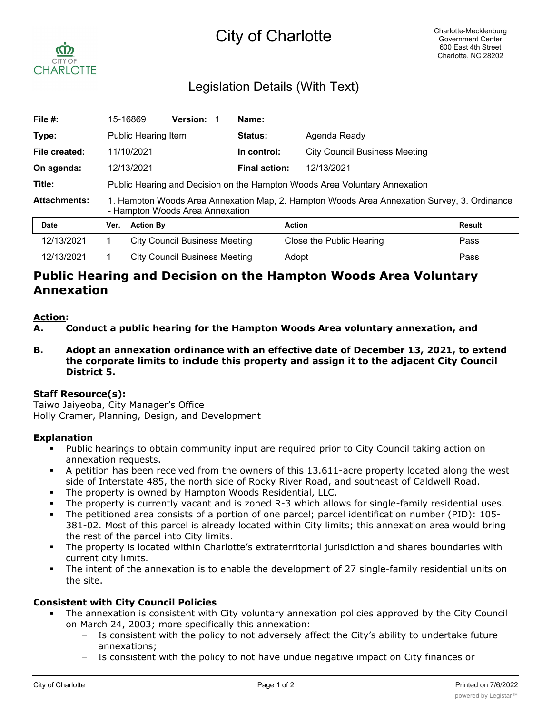# City of Charlotte



# Legislation Details (With Text)

| File #:             |                                                                                                                                | 15-16869                             | <b>Version:</b>                      |  | Name:                                               |                                    |               |  |
|---------------------|--------------------------------------------------------------------------------------------------------------------------------|--------------------------------------|--------------------------------------|--|-----------------------------------------------------|------------------------------------|---------------|--|
| Type:               |                                                                                                                                | Public Hearing Item                  |                                      |  | <b>Status:</b>                                      | Agenda Ready                       |               |  |
| File created:       |                                                                                                                                | 11/10/2021                           |                                      |  | In control:<br><b>City Council Business Meeting</b> |                                    |               |  |
| On agenda:          |                                                                                                                                | 12/13/2021                           |                                      |  |                                                     | <b>Final action:</b><br>12/13/2021 |               |  |
| Title:              | Public Hearing and Decision on the Hampton Woods Area Voluntary Annexation                                                     |                                      |                                      |  |                                                     |                                    |               |  |
| <b>Attachments:</b> | 1. Hampton Woods Area Annexation Map, 2. Hampton Woods Area Annexation Survey, 3. Ordinance<br>- Hampton Woods Area Annexation |                                      |                                      |  |                                                     |                                    |               |  |
| <b>Date</b>         | Ver.                                                                                                                           | <b>Action By</b>                     |                                      |  |                                                     | <b>Action</b>                      | <b>Result</b> |  |
| 12/13/2021          |                                                                                                                                |                                      | <b>City Council Business Meeting</b> |  |                                                     | Close the Public Hearing           | Pass          |  |
| 12/13/2021          |                                                                                                                                | <b>City Council Business Meeting</b> |                                      |  | Adopt                                               |                                    | Pass          |  |

# **Public Hearing and Decision on the Hampton Woods Area Voluntary Annexation**

#### **Action:**

**A. Conduct a public hearing for the Hampton Woods Area voluntary annexation, and**

**B. Adopt an annexation ordinance with an effective date of December 13, 2021, to extend the corporate limits to include this property and assign it to the adjacent City Council District 5.**

## **Staff Resource(s):**

Taiwo Jaiyeoba, City Manager's Office Holly Cramer, Planning, Design, and Development

## **Explanation**

- Public hearings to obtain community input are required prior to City Council taking action on annexation requests.
- § A petition has been received from the owners of this 13.611-acre property located along the west side of Interstate 485, the north side of Rocky River Road, and southeast of Caldwell Road.
- The property is owned by Hampton Woods Residential, LLC.
- The property is currently vacant and is zoned R-3 which allows for single-family residential uses.
- The petitioned area consists of a portion of one parcel; parcel identification number (PID): 105-381-02. Most of this parcel is already located within City limits; this annexation area would bring the rest of the parcel into City limits.
- The property is located within Charlotte's extraterritorial jurisdiction and shares boundaries with current city limits.
- The intent of the annexation is to enable the development of 27 single-family residential units on the site.

#### **Consistent with City Council Policies**

- The annexation is consistent with City voluntary annexation policies approved by the City Council on March 24, 2003; more specifically this annexation:
	- Is consistent with the policy to not adversely affect the City's ability to undertake future annexations;
	- Is consistent with the policy to not have undue negative impact on City finances or